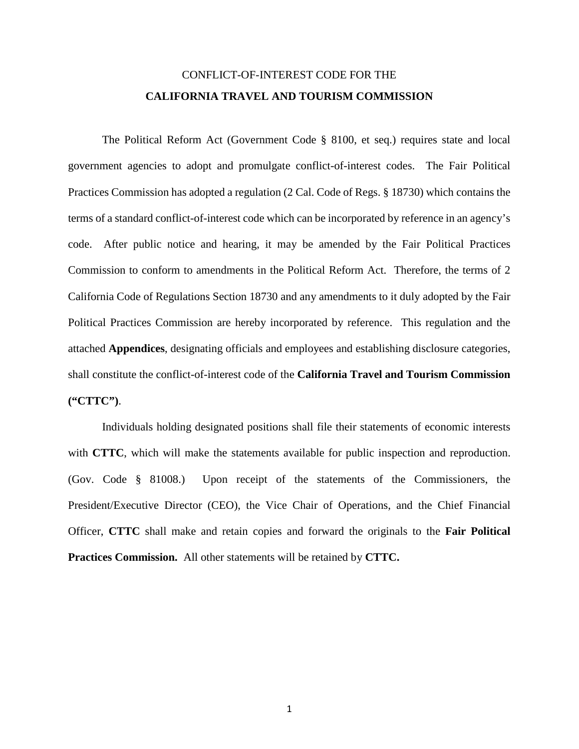## CONFLICT-OF-INTEREST CODE FOR THE **CALIFORNIA TRAVEL AND TOURISM COMMISSION**

The Political Reform Act (Government Code § 8100, et seq.) requires state and local government agencies to adopt and promulgate conflict-of-interest codes. The Fair Political Practices Commission has adopted a regulation (2 Cal. Code of Regs. § 18730) which contains the terms of a standard conflict-of-interest code which can be incorporated by reference in an agency's code. After public notice and hearing, it may be amended by the Fair Political Practices Commission to conform to amendments in the Political Reform Act. Therefore, the terms of 2 California Code of Regulations Section 18730 and any amendments to it duly adopted by the Fair Political Practices Commission are hereby incorporated by reference. This regulation and the attached **Appendices**, designating officials and employees and establishing disclosure categories, shall constitute the conflict-of-interest code of the **California Travel and Tourism Commission ("CTTC")**.

Individuals holding designated positions shall file their statements of economic interests with **CTTC**, which will make the statements available for public inspection and reproduction. (Gov. Code § 81008.) Upon receipt of the statements of the Commissioners, the President/Executive Director (CEO), the Vice Chair of Operations, and the Chief Financial Officer, **CTTC** shall make and retain copies and forward the originals to the **Fair Political Practices Commission.** All other statements will be retained by **CTTC.**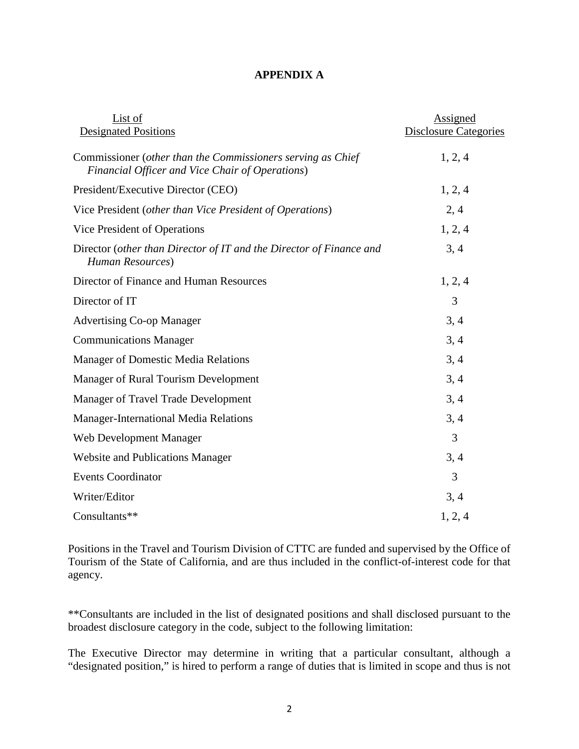## **APPENDIX A**

| List of                                                                                                        | Assigned                     |
|----------------------------------------------------------------------------------------------------------------|------------------------------|
| <b>Designated Positions</b>                                                                                    | <b>Disclosure Categories</b> |
| Commissioner (other than the Commissioners serving as Chief<br>Financial Officer and Vice Chair of Operations) | 1, 2, 4                      |
| President/Executive Director (CEO)                                                                             | 1, 2, 4                      |
| Vice President (other than Vice President of Operations)                                                       | 2,4                          |
| Vice President of Operations                                                                                   | 1, 2, 4                      |
| Director (other than Director of IT and the Director of Finance and<br>Human Resources)                        | 3, 4                         |
| Director of Finance and Human Resources                                                                        | 1, 2, 4                      |
| Director of IT                                                                                                 | 3                            |
| <b>Advertising Co-op Manager</b>                                                                               | 3, 4                         |
| <b>Communications Manager</b>                                                                                  | 3, 4                         |
| <b>Manager of Domestic Media Relations</b>                                                                     | 3, 4                         |
| Manager of Rural Tourism Development                                                                           | 3, 4                         |
| Manager of Travel Trade Development                                                                            | 3, 4                         |
| <b>Manager-International Media Relations</b>                                                                   | 3, 4                         |
| Web Development Manager                                                                                        | 3                            |
| <b>Website and Publications Manager</b>                                                                        | 3, 4                         |
| <b>Events Coordinator</b>                                                                                      | 3                            |
| Writer/Editor                                                                                                  | 3, 4                         |
| Consultants**                                                                                                  | 1, 2, 4                      |

Positions in the Travel and Tourism Division of CTTC are funded and supervised by the Office of Tourism of the State of California, and are thus included in the conflict-of-interest code for that agency.

\*\*Consultants are included in the list of designated positions and shall disclosed pursuant to the broadest disclosure category in the code, subject to the following limitation:

The Executive Director may determine in writing that a particular consultant, although a "designated position," is hired to perform a range of duties that is limited in scope and thus is not